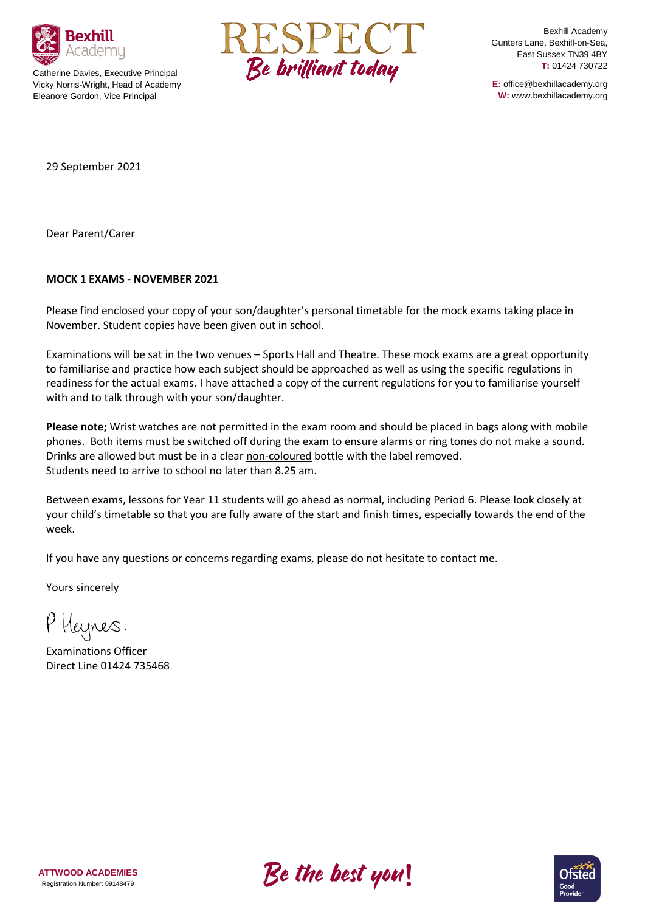

Catherine Davies, Executive Principal Vicky Norris-Wright, Head of Academy Eleanore Gordon, Vice Principal



Bexhill Academy Gunters Lane, Bexhill-on-Sea, East Sussex TN39 4BY **T:** 01424 730722

**E:** office@bexhillacademy.org **W:** www.bexhillacademy.org

29 September 2021

Dear Parent/Carer

## **MOCK 1 EXAMS - NOVEMBER 2021**

Please find enclosed your copy of your son/daughter's personal timetable for the mock exams taking place in November. Student copies have been given out in school.

Examinations will be sat in the two venues – Sports Hall and Theatre. These mock exams are a great opportunity to familiarise and practice how each subject should be approached as well as using the specific regulations in readiness for the actual exams. I have attached a copy of the current regulations for you to familiarise yourself with and to talk through with your son/daughter.

**Please note;** Wrist watches are not permitted in the exam room and should be placed in bags along with mobile phones. Both items must be switched off during the exam to ensure alarms or ring tones do not make a sound. Drinks are allowed but must be in a clear non-coloured bottle with the label removed. Students need to arrive to school no later than 8.25 am.

Between exams, lessons for Year 11 students will go ahead as normal, including Period 6. Please look closely at your child's timetable so that you are fully aware of the start and finish times, especially towards the end of the week.

If you have any questions or concerns regarding exams, please do not hesitate to contact me.

Yours sincerely

P Heynes.

Examinations Officer Direct Line 01424 735468